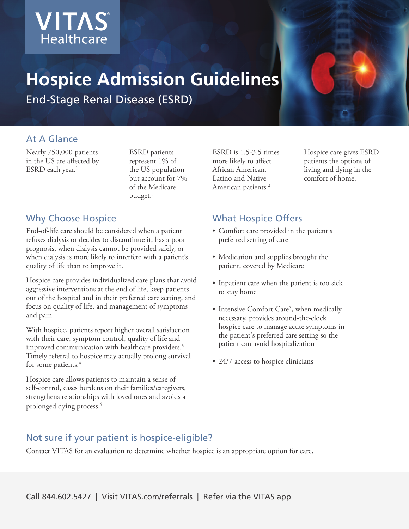

# **Hospice Admission Guidelines**

End-Stage Renal Disease (ESRD)

## At A Glance

Nearly 750,000 patients in the US are affected by ESRD each year.<sup>1</sup>

ESRD patients represent 1% of the US population but account for 7% of the Medicare budget.<sup>1</sup>

## Why Choose Hospice

End-of-life care should be considered when a patient refuses dialysis or decides to discontinue it, has a poor prognosis, when dialysis cannot be provided safely, or when dialysis is more likely to interfere with a patient's quality of life than to improve it.

Hospice care provides individualized care plans that avoid aggressive interventions at the end of life, keep patients out of the hospital and in their preferred care setting, and focus on quality of life, and management of symptoms and pain.

With hospice, patients report higher overall satisfaction with their care, symptom control, quality of life and improved communication with healthcare providers.<sup>3</sup> Timely referral to hospice may actually prolong survival for some patients.<sup>4</sup>

Hospice care allows patients to maintain a sense of self-control, eases burdens on their families/caregivers, strengthens relationships with loved ones and avoids a prolonged dying process.5

ESRD is 1.5-3.5 times more likely to affect African American, Latino and Native American patients.<sup>2</sup>

Hospice care gives ESRD patients the options of living and dying in the comfort of home.

## What Hospice Offers

- Comfort care provided in the patient's preferred setting of care
- Medication and supplies brought the patient, covered by Medicare
- Inpatient care when the patient is too sick to stay home
- Intensive Comfort Care®, when medically necessary, provides around-the-clock hospice care to manage acute symptoms in the patient's preferred care setting so the patient can avoid hospitalization
- 24/7 access to hospice clinicians

## Not sure if your patient is hospice-eligible?

Contact VITAS for an evaluation to determine whether hospice is an appropriate option for care.